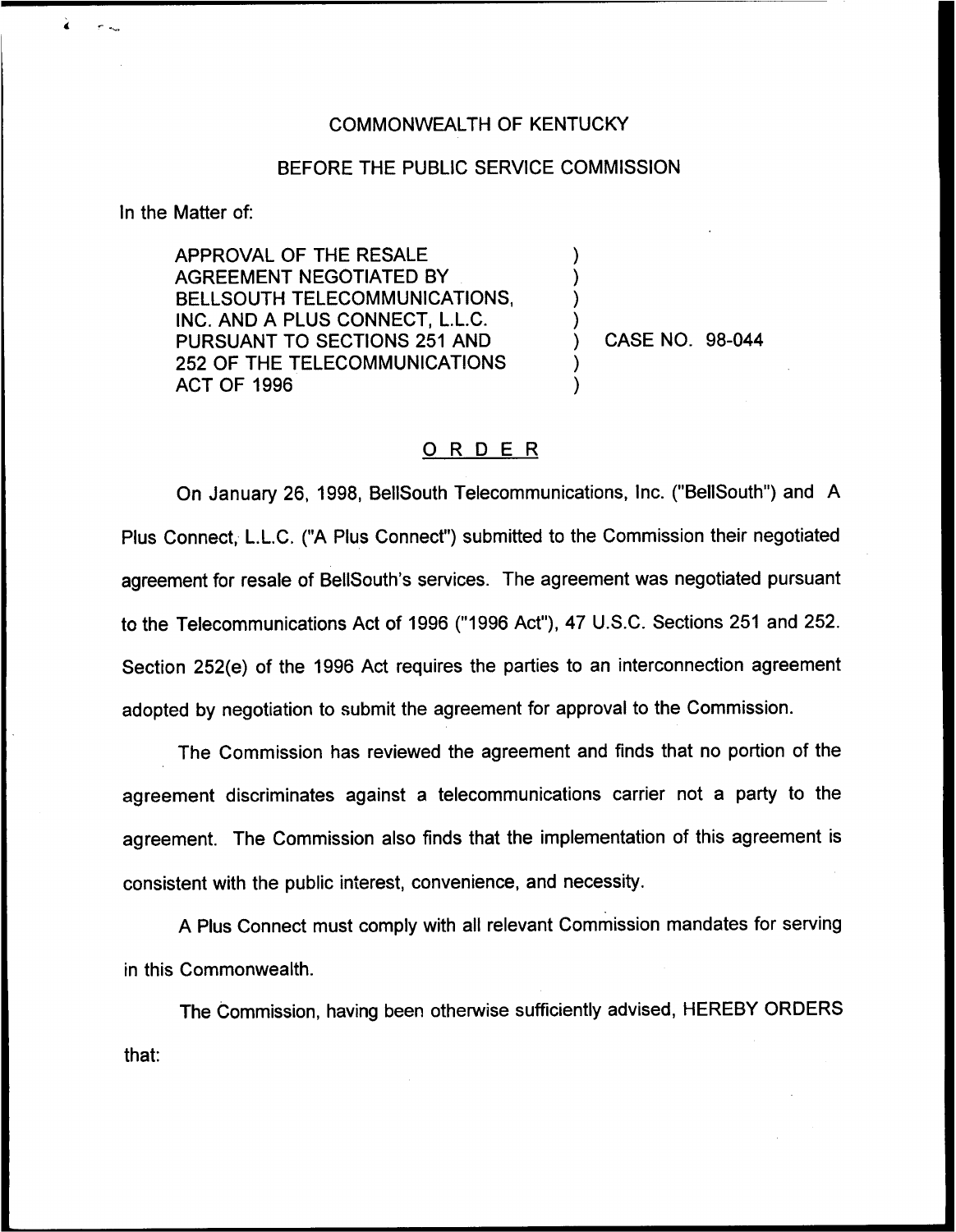## COMMONWEALTH OF KENTUCKY

## BEFORE THE PUBLIC SERVICE COMMISSION

) ) ) )

> ) )

In the Matter of:

 $\lambda$ 

 $\sigma_{\rm{max}}$ 

APPROVAL OF THE RESALE AGREEMENT NEGOTIATED BY BELLSOUTH TELECOMMUNICATIONS, INC. AND A PLUS CONNECT, L.L.C. PURSUANT TO SECTIONS 251 AND 252 OF THE TELECOMMUNICATIONS ACT OF 1996

) CASE NO. 98-044

## ORDER

On January 26, 1998, BelISouth Telecommunications, Inc. ("BellSouth") and A Plus Connect, L.L.C. ("A Plus Connect") submitted to the Commission their negotiate agreement for resale of BellSouth's services. The agreement was negotiated pursuant to the Telecommunications Act of 1996 ("1996 Act"), 47 U.S.C. Sections 251 and 252. Section 252(e) of the 1996 Act requires the parties to an interconnection agreement adopted by negotiation to submit the agreement for approval to the Commission.

The Commission has reviewed the agreement and finds that no portion of the agreement discriminates against a telecommunications carrier not a party to the agreement. The Commission also finds that the implementation of this agreement is consistent with the public interest, convenience, and necessity.

A Plus Connect must comply with all relevant Commission mandates for serving in this Commonwealth.

The Commission, having been otherwise sufficiently advised, HEREBY ORDERSthat: